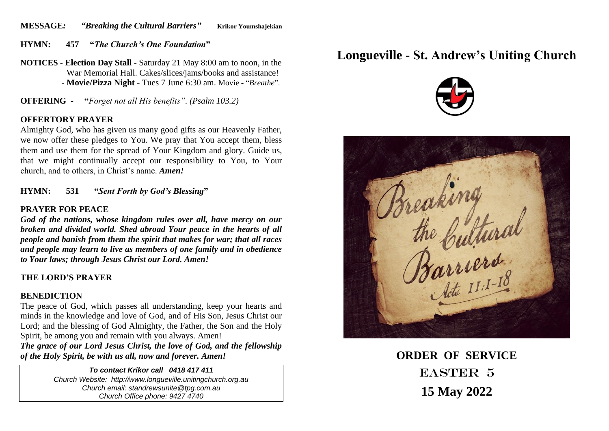**MESSAGE***: "Breaking the Cultural Barriers"* **Krikor Youmshajekian**

**HYMN: 457 "***The Church's One Foundation***"** 

**NOTICES** - **Election Day Stall** - Saturday 21 May 8:00 am to noon, in the War Memorial Hall. Cakes/slices/jams/books and assistance! - **Movie/Pizza Night** - Tues 7 June 6:30 am. Movie - "*Breathe*".

**OFFERING - "***Forget not all His benefits". (Psalm 103.2)*

#### **OFFERTORY PRAYER**

Almighty God, who has given us many good gifts as our Heavenly Father, we now offer these pledges to You. We pray that You accept them, bless them and use them for the spread of Your Kingdom and glory. Guide us, that we might continually accept our responsibility to You, to Your church, and to others, in Christ's name. *Amen!*

**HYMN: 531 "***Sent Forth by God's Blessing***"** 

#### **PRAYER FOR PEACE**

*God of the nations, whose kingdom rules over all, have mercy on our broken and divided world. Shed abroad Your peace in the hearts of all people and banish from them the spirit that makes for war; that all races and people may learn to live as members of one family and in obedience to Your laws; through Jesus Christ our Lord. Amen!*

# **THE LORD'S PRAYER**

# **BENEDICTION**

The peace of God, which passes all understanding, keep your hearts and minds in the knowledge and love of God, and of His Son, Jesus Christ our Lord; and the blessing of God Almighty, the Father, the Son and the Holy Spirit, be among you and remain with you always. Amen!

*The grace of our Lord Jesus Christ, the love of God, and the fellowship of the Holy Spirit, be with us all, now and forever. Amen!*

> *To contact Krikor call 0418 417 411 Church Website: http://www.longueville.unitingchurch.org.au Church email: standrewsunite@tpg.com.au Church Office phone: 9427 4740*

# **Longueville - St. Andrew's Uniting Church**





**ORDER OF SERVICE** EASTER 5 **15 May 2022**